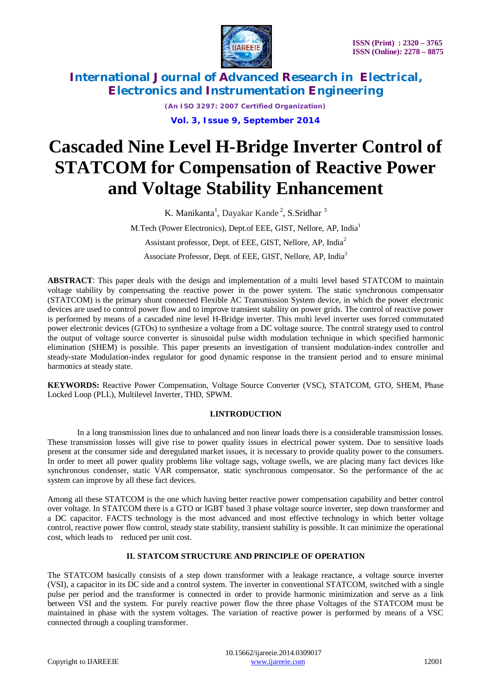

*(An ISO 3297: 2007 Certified Organization)* **Vol. 3, Issue 9, September 2014**

# **Cascaded Nine Level H-Bridge Inverter Control of STATCOM for Compensation of Reactive Power and Voltage Stability Enhancement**

K. Manikanta<sup>1</sup>, Dayakar Kande<sup>2</sup>, S.Sridhar<sup>3</sup> M.Tech (Power Electronics), Dept.of EEE, GIST, Nellore, AP, India<sup>1</sup> Assistant professor, Dept. of EEE, GIST, Nellore, AP, India<sup>2</sup> Associate Professor, Dept. of EEE, GIST, Nellore, AP, India<sup>3</sup>

**ABSTRACT**: This paper deals with the design and implementation of a multi level based STATCOM to maintain voltage stability by compensating the reactive power in the power system. The static synchronous compensator (STATCOM) is the primary shunt connected Flexible AC Transmission System device, in which the power electronic devices are used to control power flow and to improve transient stability on power grids. The control of reactive power is performed by means of a cascaded nine level H-Bridge inverter. This multi level inverter uses forced commutated power electronic devices (GTOs) to synthesize a voltage from a DC voltage source. The control strategy used to control the output of voltage source converter is sinusoidal pulse width modulation technique in which specified harmonic elimination (SHEM) is possible. This paper presents an investigation of transient modulation-index controller and steady-state Modulation-index regulator for good dynamic response in the transient period and to ensure minimal harmonics at steady state.

**KEYWORDS:** Reactive Power Compensation, Voltage Source Converter (VSC), STATCOM, GTO, SHEM, Phase Locked Loop (PLL), Multilevel Inverter, THD, SPWM.

#### **I.INTRODUCTION**

In a long transmission lines due to unbalanced and non linear loads there is a considerable transmission losses. These transmission losses will give rise to power quality issues in electrical power system. Due to sensitive loads present at the consumer side and deregulated market issues, it is necessary to provide quality power to the consumers. In order to meet all power quality problems like voltage sags, voltage swells, we are placing many fact devices like synchronous condenser, static VAR compensator, static synchronous compensator. So the performance of the ac system can improve by all these fact devices.

Among all these STATCOM is the one which having better reactive power compensation capability and better control over voltage. In STATCOM there is a GTO or IGBT based 3 phase voltage source inverter, step down transformer and a DC capacitor. FACTS technology is the most advanced and most effective technology in which better voltage control, reactive power flow control, steady state stability, transient stability is possible. It can minimize the operational cost, which leads to reduced per unit cost.

#### **II. STATCOM STRUCTURE AND PRINCIPLE OF OPERATION**

The STATCOM basically consists of a step down transformer with a leakage reactance, a voltage source inverter (VSI), a capacitor in its DC side and a control system. The inverter in conventional STATCOM, switched with a single pulse per period and the transformer is connected in order to provide harmonic minimization and serve as a link between VSI and the system. For purely reactive power flow the three phase Voltages of the STATCOM must be maintained in phase with the system voltages. The variation of reactive power is performed by means of a VSC connected through a coupling transformer.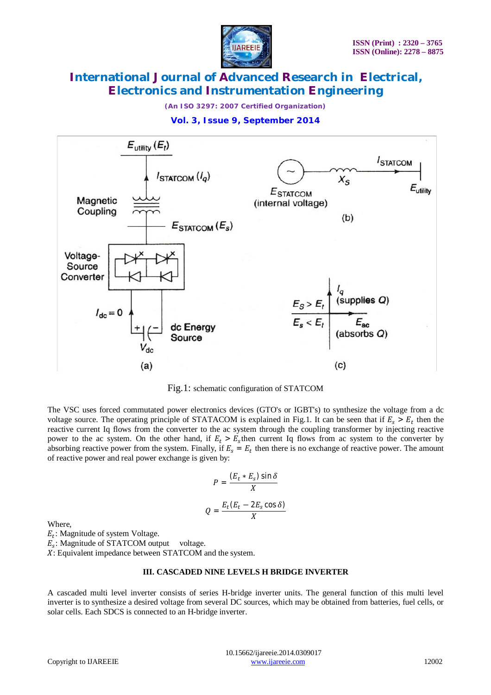

*(An ISO 3297: 2007 Certified Organization)*





Fig.1: schematic configuration of STATCOM

The VSC uses forced commutated power electronics devices (GTO's or IGBT's) to synthesize the voltage from a dc voltage source. The operating principle of STATACOM is explained in Fig.1. It can be seen that if  $E_s > E_t$  then the reactive current Iq flows from the converter to the ac system through the coupling transformer by injecting reactive power to the ac system. On the other hand, if  $E_t > E_s$  then current Iq flows from ac system to the converter by absorbing reactive power from the system. Finally, if  $E_s = E_t$  then there is no exchange of reactive power. The amount of reactive power and real power exchange is given by:

$$
P = \frac{(E_t * E_s) \sin \delta}{X}
$$

$$
Q = \frac{E_t (E_t - 2E_s \cos \delta)}{X}
$$

Where,

 $E_t$ : Magnitude of system Voltage.

 $E_s$ : Magnitude of STATCOM output voltage.

X: Equivalent impedance between STATCOM and the system.

#### **III. CASCADED NINE LEVELS H BRIDGE INVERTER**

A cascaded multi level inverter consists of series H-bridge inverter units. The general function of this multi level inverter is to synthesize a desired voltage from several DC sources, which may be obtained from batteries, fuel cells, or solar cells. Each SDCS is connected to an H-bridge inverter.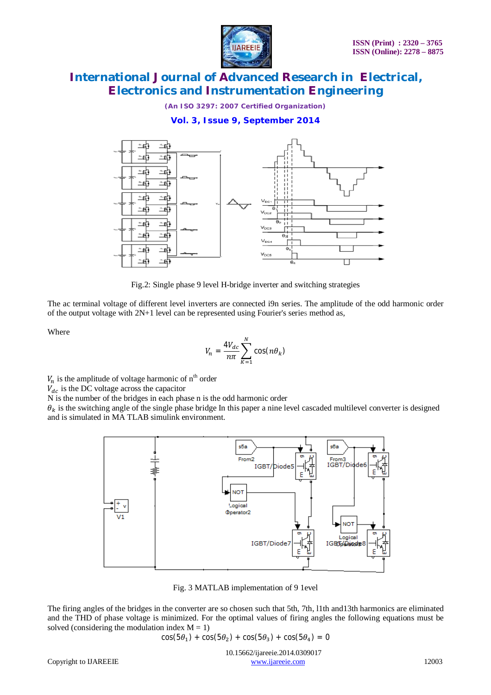

*(An ISO 3297: 2007 Certified Organization)*

**Vol. 3, Issue 9, September 2014**



Fig.2: Single phase 9 level H-bridge inverter and switching strategies

The ac terminal voltage of different level inverters are connected i9n series. The amplitude of the odd harmonic order of the output voltage with 2N+1 level can be represented using Fourier's series method as,

Where

$$
V_n = \frac{4V_{dc}}{n\pi} \sum_{K=1}^{N} \cos(n\theta_k)
$$

 $V_n$  is the amplitude of voltage harmonic of n<sup>th</sup> order

 $V_{dc}$  is the DC voltage across the capacitor

N is the number of the bridges in each phase n is the odd harmonic order

 $\theta_k$  is the switching angle of the single phase bridge In this paper a nine level cascaded multilevel converter is designed and is simulated in MA TLAB simulink environment.



Fig. 3 MATLAB implementation of 9 1evel

The firing angles of the bridges in the converter are so chosen such that 5th, 7th, l1th and13th harmonics are eliminated and the THD of phase voltage is minimized. For the optimal values of firing angles the following equations must be solved (considering the modulation index  $M = 1$ )

$$
\cos(5\theta_1) + \cos(5\theta_2) + \cos(5\theta_3) + \cos(5\theta_4) = 0
$$

 10.15662/ijareeie.2014.0309017 Copyright to IJAREEIE www.ijareeie.com 12003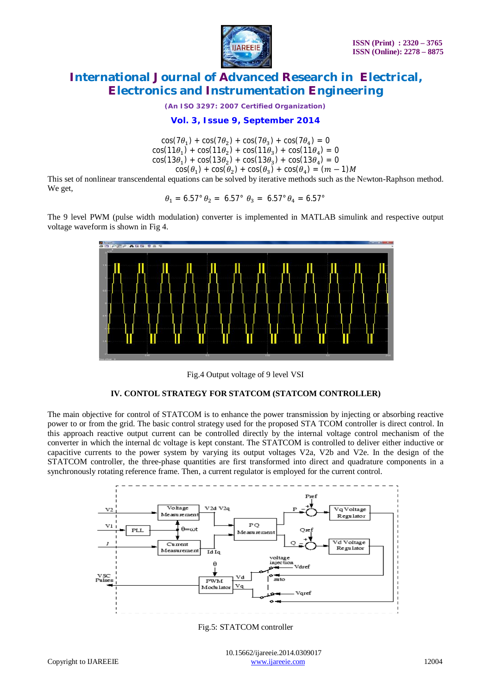

*(An ISO 3297: 2007 Certified Organization)*

**Vol. 3, Issue 9, September 2014**

 $cos(7\theta_1) + cos(7\theta_2) + cos(7\theta_3) + cos(7\theta_4) = 0$  $cos(11\theta_1) + cos(11\theta_2) + cos(11\theta_3) + cos(11\theta_4) = 0$  $cos(13\theta_1) + cos(13\theta_2) + cos(13\theta_3) + cos(13\theta_4) = 0$  $cos(\theta_1) + cos(\theta_2) + cos(\theta_3) + cos(\theta_4) = (m-1)M$ 

This set of nonlinear transcendental equations can be solved by iterative methods such as the Newton-Raphson method. We get,

$$
\theta_1 = 6.57^\circ \theta_2 = 6.57^\circ \theta_3 = 6.57^\circ \theta_4 = 6.57^\circ
$$

The 9 level PWM (pulse width modulation) converter is implemented in MATLAB simulink and respective output voltage waveform is shown in Fig 4.



Fig.4 Output voltage of 9 level VSI

#### **IV. CONTOL STRATEGY FOR STATCOM (STATCOM CONTROLLER)**

The main objective for control of STATCOM is to enhance the power transmission by injecting or absorbing reactive power to or from the grid. The basic control strategy used for the proposed STA TCOM controller is direct control. In this approach reactive output current can be controlled directly by the internal voltage control mechanism of the converter in which the internal dc voltage is kept constant. The STATCOM is controlled to deliver either inductive or capacitive currents to the power system by varying its output voltages V2a, V2b and V2e. In the design of the STATCOM controller, the three-phase quantities are first transformed into direct and quadrature components in a synchronously rotating reference frame. Then, a current regulator is employed for the current control.



Fig.5: STATCOM controller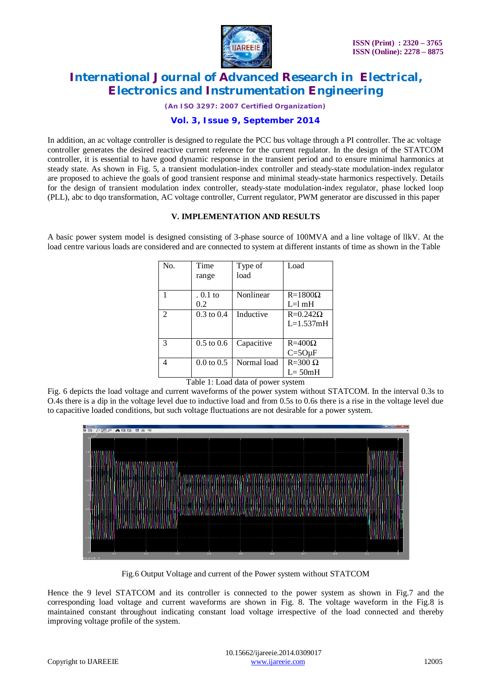

*(An ISO 3297: 2007 Certified Organization)*

#### **Vol. 3, Issue 9, September 2014**

In addition, an ac voltage controller is designed to regulate the PCC bus voltage through a PI controller. The ac voltage controller generates the desired reactive current reference for the current regulator. In the design of the STATCOM controller, it is essential to have good dynamic response in the transient period and to ensure minimal harmonics at steady state. As shown in Fig. 5, a transient modulation-index controller and steady-state modulation-index regulator are proposed to achieve the goals of good transient response and minimal steady-state harmonics respectively. Details for the design of transient modulation index controller, steady-state modulation-index regulator, phase locked loop (PLL), abc to dqo transformation, AC voltage controller, Current regulator, PWM generator are discussed in this paper

#### **V. IMPLEMENTATION AND RESULTS**

A basic power system model is designed consisting of 3-phase source of 100MVA and a line voltage of llkV. At the load centre various loads are considered and are connected to system at different instants of time as shown in the Table

| No.            | Time                  | Type of     | Load             |
|----------------|-----------------------|-------------|------------------|
|                | range                 | load        |                  |
|                |                       |             |                  |
|                | . 0.1 to              | Nonlinear   | $R = 1800\Omega$ |
|                | 0.2                   |             | $L=1$ mH         |
| $\mathfrak{D}$ | $0.3 \text{ to } 0.4$ | Inductive   | $R=0.242\Omega$  |
|                |                       |             | $L=1.537mH$      |
|                |                       |             |                  |
| 3              | $0.5$ to $0.6$        | Capacitive  | $R = 400\Omega$  |
|                |                       |             | $C = 5Q\mu F$    |
| Δ              | $0.0 \text{ to } 0.5$ | Normal load | $R = 300 \Omega$ |
|                |                       |             | $L = 50mH$       |

Table 1: Load data of power system

Fig. 6 depicts the load voltage and current waveforms of the power system without STATCOM. In the interval 0.3s to O.4s there is a dip in the voltage level due to inductive load and from 0.5s to 0.6s there is a rise in the voltage level due to capacitive loaded conditions, but such voltage fluctuations are not desirable for a power system.



Fig.6 Output Voltage and current of the Power system without STATCOM

Hence the 9 level STATCOM and its controller is connected to the power system as shown in Fig.7 and the corresponding load voltage and current waveforms are shown in Fig. 8. The voltage waveform in the Fig.8 is maintained constant throughout indicating constant load voltage irrespective of the load connected and thereby improving voltage profile of the system.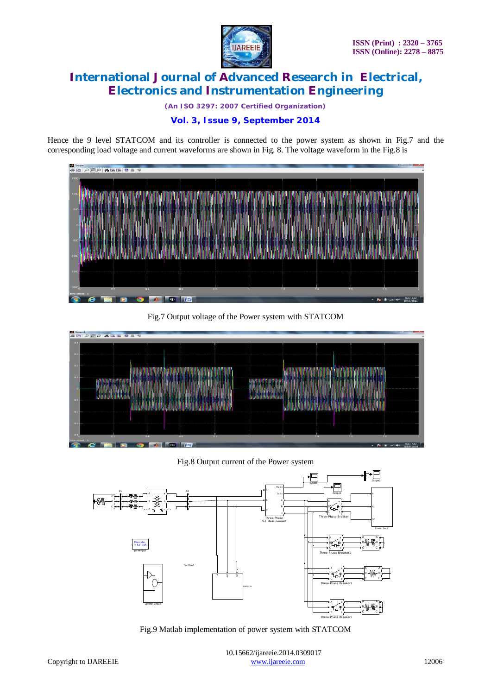

*(An ISO 3297: 2007 Certified Organization)*

### **Vol. 3, Issue 9, September 2014**

Hence the 9 level STATCOM and its controller is connected to the power system as shown in Fig.7 and the corresponding load voltage and current waveforms are shown in Fig. 8. The voltage waveform in the Fig.8 is



Fig.7 Output voltage of the Power system with STATCOM



Fig.8 Output current of the Power system



Fig.9 Matlab implementation of power system with STATCOM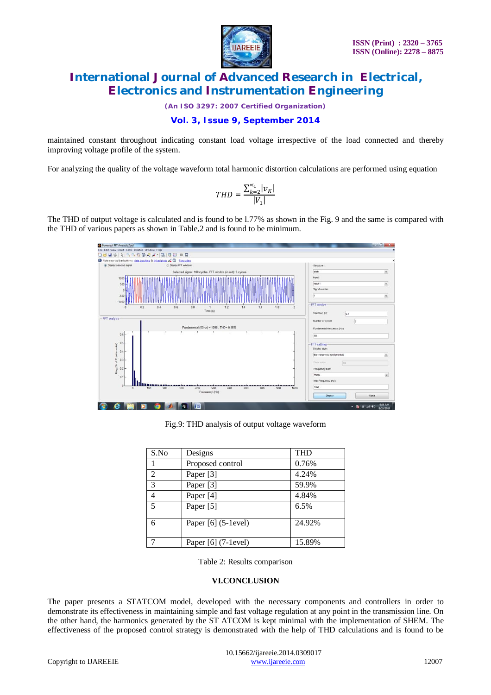

*(An ISO 3297: 2007 Certified Organization)*

#### **Vol. 3, Issue 9, September 2014**

maintained constant throughout indicating constant load voltage irrespective of the load connected and thereby improving voltage profile of the system.

For analyzing the quality of the voltage waveform total harmonic distortion calculations are performed using equation

$$
THD = \frac{\sum_{k=2}^{\infty} |v_K|}{|V_1|}
$$

The THD of output voltage is calculated and is found to be l.77% as shown in the Fig. 9 and the same is compared with the THD of various papers as shown in Table.2 and is found to be minimum.



Fig.9: THD analysis of output voltage waveform

| S.No | Designs               | <b>THD</b> |
|------|-----------------------|------------|
|      | Proposed control      | 0.76%      |
| 2    | Paper [3]             | 4.24%      |
| 3    | Paper [3]             | 59.9%      |
| 4    | Paper [4]             | 4.84%      |
| 5    | Paper [5]             | 6.5%       |
| 6    | Paper $[6]$ (5-1evel) | 24.92%     |
|      | Paper [6] (7-1evel)   | 15.89%     |

Table 2: Results comparison

#### **VI.CONCLUSION**

The paper presents a STATCOM model, developed with the necessary components and controllers in order to demonstrate its effectiveness in maintaining simple and fast voltage regulation at any point in the transmission line. On the other hand, the harmonics generated by the ST ATCOM is kept minimal with the implementation of SHEM. The effectiveness of the proposed control strategy is demonstrated with the help of THD calculations and is found to be